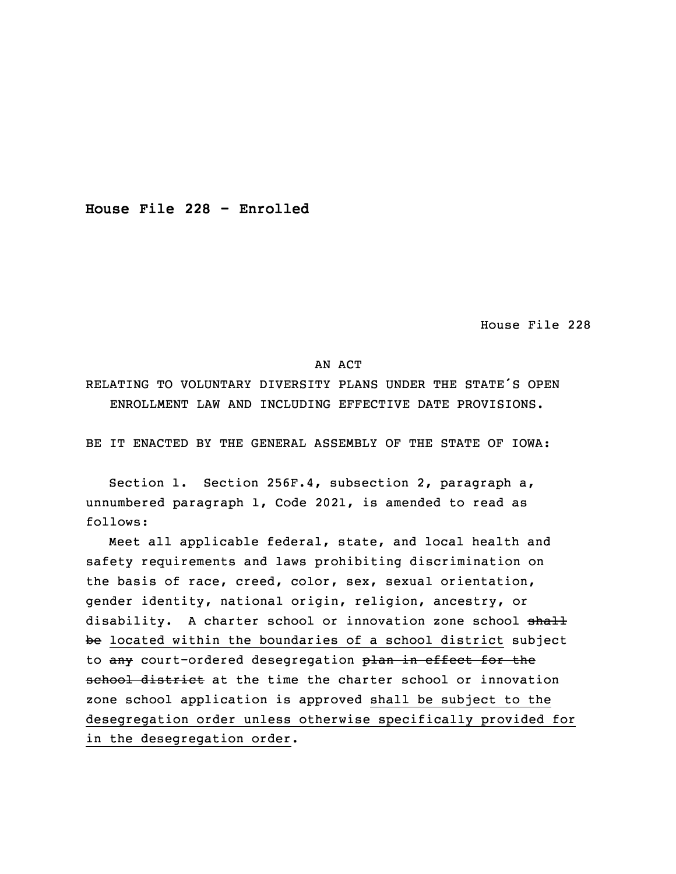**House File 228 - Enrolled**

House File 228

## AN ACT

RELATING TO VOLUNTARY DIVERSITY PLANS UNDER THE STATE'S OPEN ENROLLMENT LAW AND INCLUDING EFFECTIVE DATE PROVISIONS.

BE IT ENACTED BY THE GENERAL ASSEMBLY OF THE STATE OF IOWA:

 Section 1. Section 256F.4, subsection 2, paragraph a, unnumbered paragraph 1, Code 2021, is amended to read as follows:

 Meet all applicable federal, state, and local health and 5 safety requirements and laws prohibiting discrimination on the basis of race, creed, color, sex, sexual orientation, gender identity, national origin, religion, ancestry, or disability. A charter school or innovation zone school shall be located within the boundaries of a school district subject to any court-ordered desegregation plan in effect for the school district at the time the charter school or innovation zone school application is approved shall be subject to the desegregation order unless otherwise specifically provided for in the desegregation order.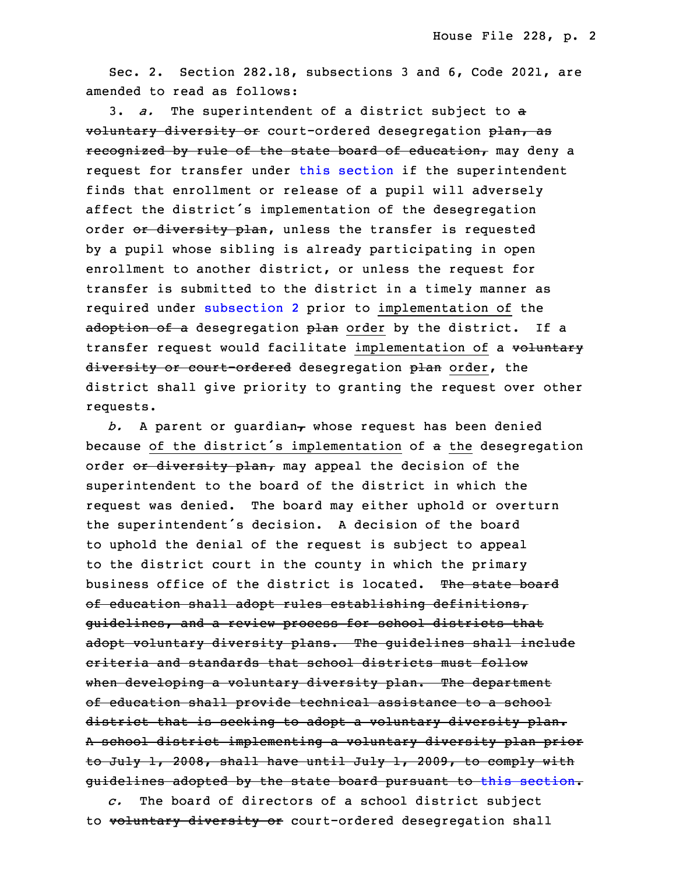Sec. 2. Section 282.18, subsections 3 and 6, Code 2021, are amended to read as follows:

3. *a.* The superintendent of a district subject to a voluntary diversity or court-ordered desegregation plan, as recognized by rule of the state board of education, may deny a request for transfer under this [section](https://www.legis.iowa.gov/docs/code/2021/282.18.pdf) if the superintendent finds that enrollment or release of <sup>a</sup> pupil will adversely affect the district's implementation of the desegregation order or diversity plan, unless the transfer is requested by <sup>a</sup> pupil whose sibling is already participating in open enrollment to another district, or unless the request for transfer is submitted to the district in a timely manner as required under [subsection](https://www.legis.iowa.gov/docs/code/2021/282.18.pdf) 2 prior to implementation of the adoption of a desegregation plan order by the district. If a transfer request would facilitate implementation of a voluntary diversity or court-ordered desegregation plan order, the district shall give priority to granting the request over other requests.

 $b.$  A parent or guardian<sub> $\tau$ </sub> whose request has been denied because of the district's implementation of a the desegregation order or diversity plan, may appeal the decision of the superintendent to the board of the district in which the request was denied. The board may either uphold or overturn the superintendent's decision. A decision of the board to uphold the denial of the request is subject to appeal to the district court in the county in which the primary business office of the district is located. The state board of education shall adopt rules establishing definitions, guidelines, and a review process for school districts that adopt voluntary diversity plans. The guidelines shall include criteria and standards that school districts must follow when developing a voluntary diversity plan. The department of education shall provide technical assistance to <sup>a</sup> school district that is seeking to adopt a voluntary diversity plan. <sup>A</sup> school district implementing <sup>a</sup> voluntary diversity plan prior to July 1, 2008, shall have until July 1, 2009, to comply with guidelines adopted by the state board pursuant to this [section](https://www.legis.iowa.gov/docs/code/2021/282.18.pdf).

17 *c.* The board of directors of <sup>a</sup> school district subject to voluntary diversity or court-ordered desegregation shall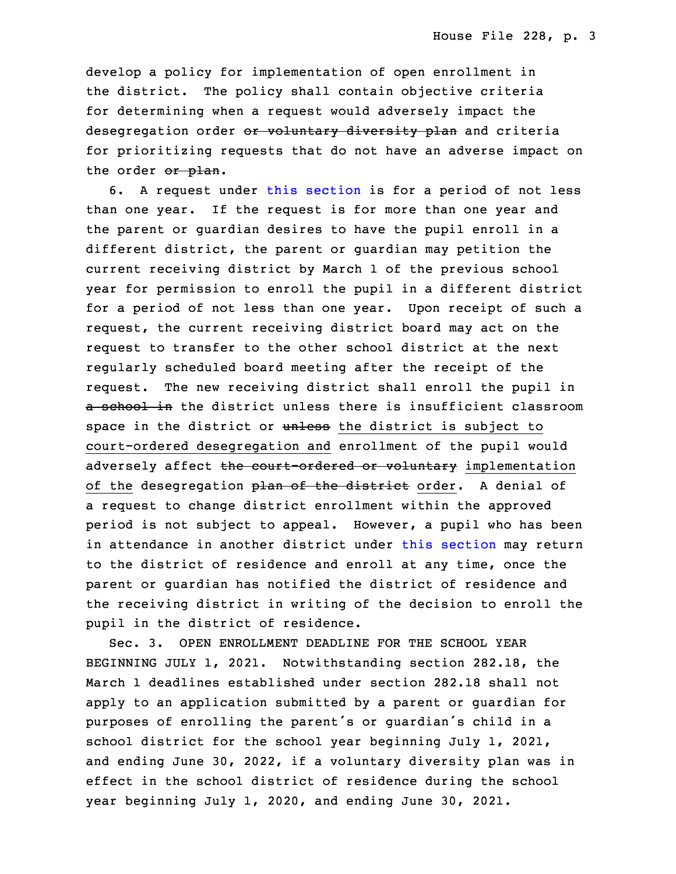develop a policy for implementation of open enrollment in the district. The policy shall contain objective criteria for determining when <sup>a</sup> request would adversely impact the desegregation order or voluntary diversity plan and criteria for prioritizing requests that do not have an adverse impact on the order or plan.

6. A request under this [section](https://www.legis.iowa.gov/docs/code/2021/282.18.pdf) is for a period of not less than one year. If the request is for more than one year and the parent or guardian desires to have the pupil enroll in a different district, the parent or guardian may petition the current receiving district by March 1 of the previous school year for permission to enroll the pupil in a different district for a period of not less than one year. Upon receipt of such a request, the current receiving district board may act on the request to transfer to the other school district at the next regularly scheduled board meeting after the receipt of the request. The new receiving district shall enroll the pupil in a school in the district unless there is insufficient classroom space in the district or unless the district is subject to court-ordered desegregation and enrollment of the pupil would adversely affect the court-ordered or voluntary implementation of the desegregation plan of the district order. A denial of a request to change district enrollment within the approved period is not subject to appeal. However, a pupil who has been in attendance in another district under this [section](https://www.legis.iowa.gov/docs/code/2021/282.18.pdf) may return to the district of residence and enroll at any time, once the parent or quardian has notified the district of residence and the receiving district in writing of the decision to enroll the pupil in the district of residence.

Sec. 3. OPEN ENROLLMENT DEADLINE FOR THE SCHOOL YEAR BEGINNING JULY 1, 2021. Notwithstanding section 282.18, the March 1 deadlines established under section 282.18 shall not apply to an application submitted by a parent or quardian for purposes of enrolling the parent's or guardian's child in a school district for the school year beginning July 1, 2021, and ending June 30, 2022, if a voluntary diversity plan was in effect in the school district of residence during the school year beginning July 1, 2020, and ending June 30, 2021.